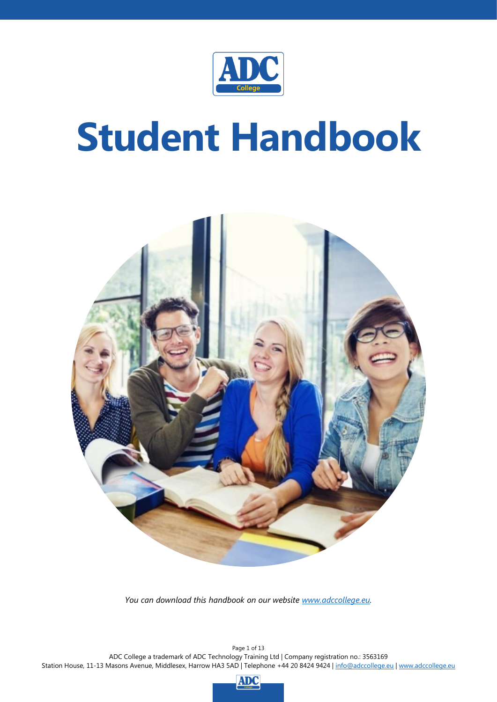

# **Student Handbook**



*You can download this handbook on our website [www.adccollege.eu.](http://www.adccollege.eu/)*

Page 1 of 13 ADC College a trademark of ADC Technology Training Ltd | Company registration no.: 3563169 Station House, 11-13 Masons Avenue, Middlesex, Harrow HA3 5AD | Telephone +44 20 8424 9424 | [info@adccollege.eu](mailto:info@adccollege.eu) | [www.adccollege.eu](http://www.adccollege.eu/)

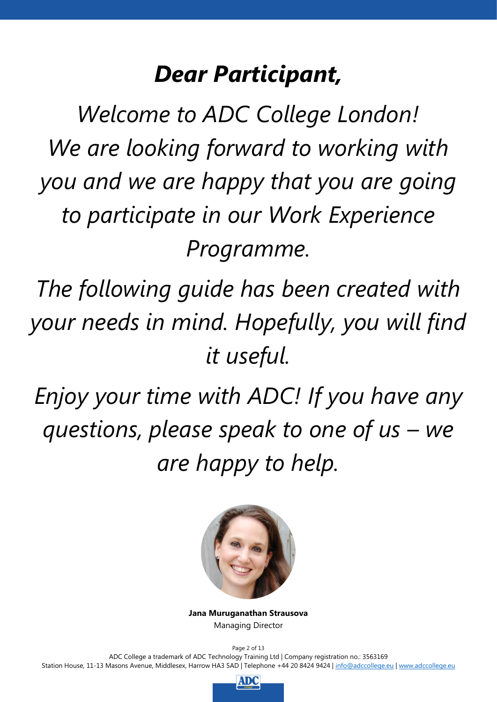# *Dear Participant,*

*Welcome to ADC College London! We are looking forward to working with you and we are happy that you are going to participate in our Work Experience Programme.*

*The following guide has been created with your needs in mind. Hopefully, you will find it useful.*

*Enjoy your time with ADC! If you have any questions, please speak to one of us – we are happy to help.*



**Jana Muruganathan Strausova** Managing Director

Page 2 of 13 ADC College a trademark of ADC Technology Training Ltd | Company registration no.: 3563169 Station House, 11-13 Masons Avenue, Middlesex, Harrow HA3 5AD | Telephone +44 20 8424 9424 | [info@adccollege.eu](mailto:info@adccollege.eu) | [www.adccollege.eu](http://www.adccollege.eu/)

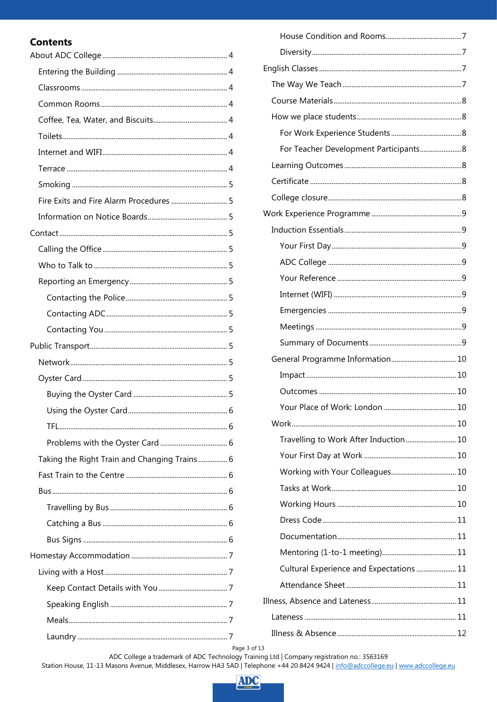# **Contents**

| Taking the Right Train and Changing Trains 6 |
|----------------------------------------------|
|                                              |
|                                              |
|                                              |
|                                              |
|                                              |
|                                              |
|                                              |
|                                              |
|                                              |
|                                              |
|                                              |

| For Teacher Development Participants 8   |  |
|------------------------------------------|--|
|                                          |  |
|                                          |  |
|                                          |  |
|                                          |  |
|                                          |  |
|                                          |  |
|                                          |  |
|                                          |  |
|                                          |  |
|                                          |  |
|                                          |  |
|                                          |  |
|                                          |  |
|                                          |  |
|                                          |  |
|                                          |  |
|                                          |  |
|                                          |  |
| Travelling to Work After Induction 10    |  |
|                                          |  |
|                                          |  |
|                                          |  |
|                                          |  |
|                                          |  |
|                                          |  |
|                                          |  |
| Cultural Experience and Expectations  11 |  |
|                                          |  |
|                                          |  |
|                                          |  |

Page 3 of 13<br>ADC College a trademark of ADC Technology Training Ltd | Company registration no.: 3563169<br>Station House, 11-13 Masons Avenue, Middlesex, Harrow HA3 5AD | Telephone +44 20 8424 9424 | <u>info@adccollege.eu</u> | <u>w</u>

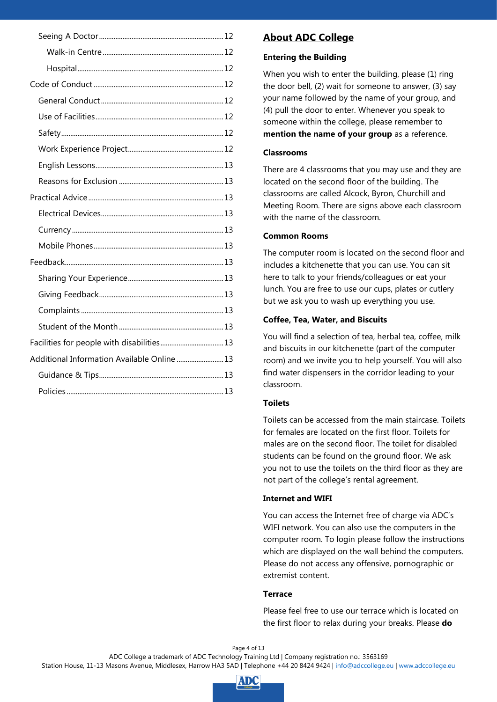| Facilities for people with disabilities 13  |  |
|---------------------------------------------|--|
| Additional Information Available Online  13 |  |
|                                             |  |
|                                             |  |

# <span id="page-3-0"></span>**About ADC College**

#### <span id="page-3-1"></span>**Entering the Building**

When you wish to enter the building, please (1) ring the door bell, (2) wait for someone to answer, (3) say your name followed by the name of your group, and (4) pull the door to enter. Whenever you speak to someone within the college, please remember to **mention the name of your group** as a reference.

#### <span id="page-3-2"></span>**Classrooms**

There are 4 classrooms that you may use and they are located on the second floor of the building. The classrooms are called Alcock, Byron, Churchill and Meeting Room. There are signs above each classroom with the name of the classroom.

#### <span id="page-3-3"></span>**Common Rooms**

The computer room is located on the second floor and includes a kitchenette that you can use. You can sit here to talk to your friends/colleagues or eat your lunch. You are free to use our cups, plates or cutlery but we ask you to wash up everything you use.

#### <span id="page-3-4"></span>**Coffee, Tea, Water, and Biscuits**

You will find a selection of tea, herbal tea, coffee, milk and biscuits in our kitchenette (part of the computer room) and we invite you to help yourself. You will also find water dispensers in the corridor leading to your classroom.

#### <span id="page-3-5"></span>**Toilets**

Toilets can be accessed from the main staircase. Toilets for females are located on the first floor. Toilets for males are on the second floor. The toilet for disabled students can be found on the ground floor. We ask you not to use the toilets on the third floor as they are not part of the college's rental agreement.

#### <span id="page-3-6"></span>**Internet and WIFI**

You can access the Internet free of charge via ADC's WIFI network. You can also use the computers in the computer room. To login please follow the instructions which are displayed on the wall behind the computers. Please do not access any offensive, pornographic or extremist content.

#### <span id="page-3-7"></span>**Terrace**

Please feel free to use our terrace which is located on the first floor to relax during your breaks. Please **do** 

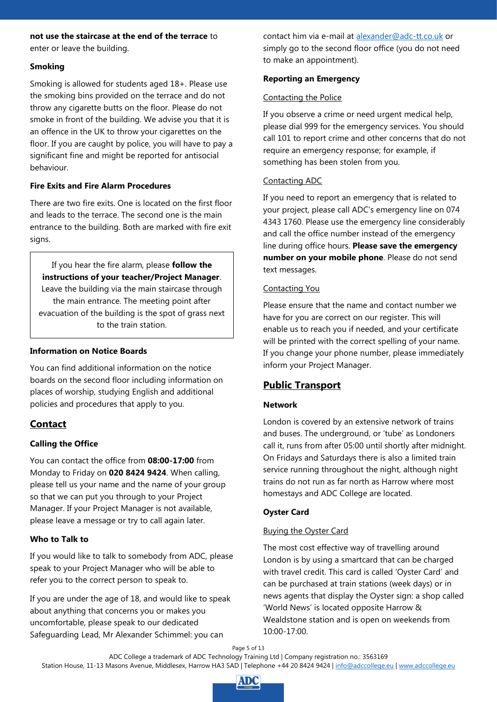#### **not use the staircase at the end of the terrace** to enter or leave the building.

#### <span id="page-4-0"></span>**Smoking**

Smoking is allowed for students aged 18+. Please use the smoking bins provided on the terrace and do not throw any cigarette butts on the floor. Please do not smoke in front of the building. We advise you that it is an offence in the UK to throw your cigarettes on the floor. If you are caught by police, you will have to pay a significant fine and might be reported for antisocial behaviour.

#### <span id="page-4-1"></span>**Fire Exits and Fire Alarm Procedures**

There are two fire exits. One is located on the first floor and leads to the terrace. The second one is the main entrance to the building. Both are marked with fire exit signs.

If you hear the fire alarm, please **follow the instructions of your teacher/Project Manager**. Leave the building via the main staircase through the main entrance. The meeting point after evacuation of the building is the spot of grass next to the train station.

#### <span id="page-4-2"></span>**Information on Notice Boards**

You can find additional information on the notice boards on the second floor including information on places of worship, studying English and additional policies and procedures that apply to you.

# <span id="page-4-3"></span>**Contact**

# <span id="page-4-4"></span>**Calling the Office**

You can contact the office from **08:00-17:00** from Monday to Friday on **020 8424 9424**. When calling, please tell us your name and the name of your group so that we can put you through to your Project Manager. If your Project Manager is not available, please leave a message or try to call again later.

#### <span id="page-4-5"></span>**Who to Talk to**

If you would like to talk to somebody from ADC, please speak to your Project Manager who will be able to refer you to the correct person to speak to.

If you are under the age of 18, and would like to speak about anything that concerns you or makes you uncomfortable, please speak to our dedicated Safeguarding Lead, Mr Alexander Schimmel: you can

contact him via e-mail at [alexander@adc-tt.co.uk](mailto:alexander@adc-tt.co.uk) or simply go to the second floor office (you do not need to make an appointment).

#### <span id="page-4-6"></span>**Reporting an Emergency**

#### <span id="page-4-7"></span>Contacting the Police

If you observe a crime or need urgent medical help, please dial 999 for the emergency services. You should call 101 to report crime and other concerns that do not require an emergency response; for example, if something has been stolen from you.

#### <span id="page-4-8"></span>Contacting ADC

If you need to report an emergency that is related to your project, please call ADC's emergency line on 074 4343 1760. Please use the emergency line considerably and call the office number instead of the emergency line during office hours. **Please save the emergency number on your mobile phone**. Please do not send text messages.

#### <span id="page-4-9"></span>Contacting You

Please ensure that the name and contact number we have for you are correct on our register. This will enable us to reach you if needed, and your certificate will be printed with the correct spelling of your name. If you change your phone number, please immediately inform your Project Manager.

# <span id="page-4-10"></span>**Public Transport**

# <span id="page-4-11"></span>**Network**

London is covered by an extensive network of trains and buses. The underground, or 'tube' as Londoners call it, runs from after 05:00 until shortly after midnight. On Fridays and Saturdays there is also a limited train service running throughout the night, although night trains do not run as far north as Harrow where most homestays and ADC College are located.

# <span id="page-4-12"></span>**Oyster Card**

# <span id="page-4-13"></span>Buying the Oyster Card

The most cost effective way of travelling around London is by using a smartcard that can be charged with travel credit. This card is called 'Oyster Card' and can be purchased at train stations (week days) or in news agents that display the Oyster sign: a shop called 'World News' is located opposite Harrow & Wealdstone station and is open on weekends from 10:00-17:00.

Page 5 of 13

ADC College a trademark of ADC Technology Training Ltd | Company registration no.: 3563169

Station House, 11-13 Masons Avenue, Middlesex, Harrow HA3 5AD | Telephone +44 20 8424 9424 | [info@adccollege.eu](mailto:info@adccollege.eu) | [www.adccollege.eu](http://www.adccollege.eu/)

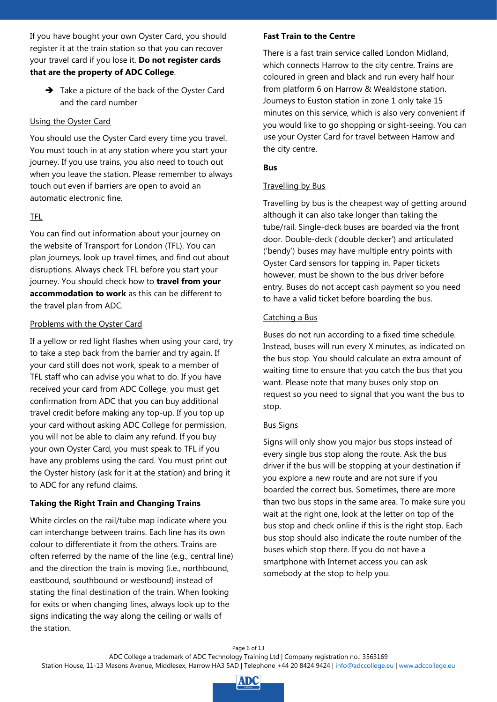If you have bought your own Oyster Card, you should register it at the train station so that you can recover your travel card if you lose it. **Do not register cards that are the property of ADC College**.

 $\rightarrow$  Take a picture of the back of the Oyster Card and the card number

#### <span id="page-5-0"></span>Using the Oyster Card

You should use the Oyster Card every time you travel. You must touch in at any station where you start your journey. If you use trains, you also need to touch out when you leave the station. Please remember to always touch out even if barriers are open to avoid an automatic electronic fine.

#### <span id="page-5-1"></span>TFL

You can find out information about your journey on the website of Transport for London (TFL). You can plan journeys, look up travel times, and find out about disruptions. Always check TFL before you start your journey. You should check how to **travel from your accommodation to work** as this can be different to the travel plan from ADC.

#### <span id="page-5-2"></span>Problems with the Oyster Card

If a yellow or red light flashes when using your card, try to take a step back from the barrier and try again. If your card still does not work, speak to a member of TFL staff who can advise you what to do. If you have received your card from ADC College, you must get confirmation from ADC that you can buy additional travel credit before making any top-up. If you top up your card without asking ADC College for permission, you will not be able to claim any refund. If you buy your own Oyster Card, you must speak to TFL if you have any problems using the card. You must print out the Oyster history (ask for it at the station) and bring it to ADC for any refund claims.

#### <span id="page-5-3"></span>**Taking the Right Train and Changing Trains**

White circles on the rail/tube map indicate where you can interchange between trains. Each line has its own colour to differentiate it from the others. Trains are often referred by the name of the line (e.g., central line) and the direction the train is moving (i.e., northbound, eastbound, southbound or westbound) instead of stating the final destination of the train. When looking for exits or when changing lines, always look up to the signs indicating the way along the ceiling or walls of the station.

#### <span id="page-5-4"></span>**Fast Train to the Centre**

There is a fast train service called London Midland, which connects Harrow to the city centre. Trains are coloured in green and black and run every half hour from platform 6 on Harrow & Wealdstone station. Journeys to Euston station in zone 1 only take 15 minutes on this service, which is also very convenient if you would like to go shopping or sight-seeing. You can use your Oyster Card for travel between Harrow and the city centre.

#### <span id="page-5-5"></span>**Bus**

#### <span id="page-5-6"></span>Travelling by Bus

Travelling by bus is the cheapest way of getting around although it can also take longer than taking the tube/rail. Single-deck buses are boarded via the front door. Double-deck ('double decker') and articulated ('bendy') buses may have multiple entry points with Oyster Card sensors for tapping in. Paper tickets however, must be shown to the bus driver before entry. Buses do not accept cash payment so you need to have a valid ticket before boarding the bus.

#### <span id="page-5-7"></span>Catching a Bus

Buses do not run according to a fixed time schedule. Instead, buses will run every X minutes, as indicated on the bus stop. You should calculate an extra amount of waiting time to ensure that you catch the bus that you want. Please note that many buses only stop on request so you need to signal that you want the bus to stop.

#### <span id="page-5-8"></span>Bus Signs

Signs will only show you major bus stops instead of every single bus stop along the route. Ask the bus driver if the bus will be stopping at your destination if you explore a new route and are not sure if you boarded the correct bus. Sometimes, there are more than two bus stops in the same area. To make sure you wait at the right one, look at the letter on top of the bus stop and check online if this is the right stop. Each bus stop should also indicate the route number of the buses which stop there. If you do not have a smartphone with Internet access you can ask somebody at the stop to help you.

Page 6 of 13

Station House, 11-13 Masons Avenue, Middlesex, Harrow HA3 5AD | Telephone +44 20 8424 9424 | [info@adccollege.eu](mailto:info@adccollege.eu) | [www.adccollege.eu](http://www.adccollege.eu/)

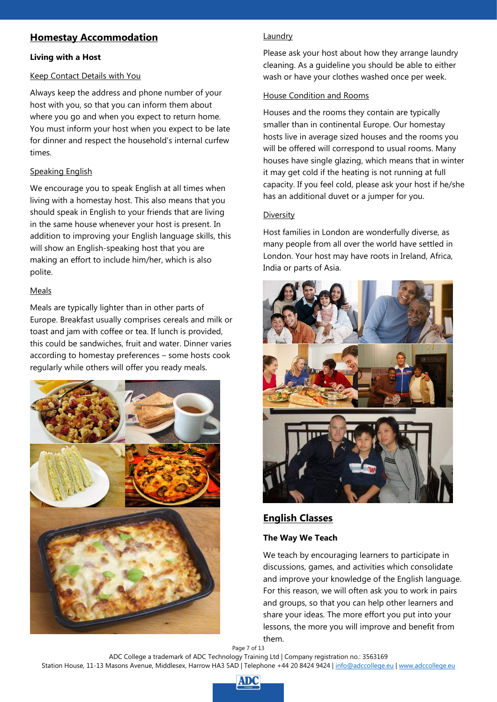# <span id="page-6-0"></span>**Homestay Accommodation**

#### <span id="page-6-1"></span>**Living with a Host**

#### <span id="page-6-2"></span>Keep Contact Details with You

Always keep the address and phone number of your host with you, so that you can inform them about where you go and when you expect to return home. You must inform your host when you expect to be late for dinner and respect the household's internal curfew times.

#### <span id="page-6-3"></span>Speaking English

We encourage you to speak English at all times when living with a homestay host. This also means that you should speak in English to your friends that are living in the same house whenever your host is present. In addition to improving your English language skills, this will show an English-speaking host that you are making an effort to include him/her, which is also polite.

#### <span id="page-6-4"></span>Meals

Meals are typically lighter than in other parts of Europe. Breakfast usually comprises cereals and milk or toast and jam with coffee or tea. If lunch is provided, this could be sandwiches, fruit and water. Dinner varies according to homestay preferences – some hosts cook regularly while others will offer you ready meals.



#### <span id="page-6-5"></span>Laundry

Please ask your host about how they arrange laundry cleaning. As a guideline you should be able to either wash or have your clothes washed once per week.

#### <span id="page-6-6"></span>House Condition and Rooms

Houses and the rooms they contain are typically smaller than in continental Europe. Our homestay hosts live in average sized houses and the rooms you will be offered will correspond to usual rooms. Many houses have single glazing, which means that in winter it may get cold if the heating is not running at full capacity. If you feel cold, please ask your host if he/she has an additional duvet or a jumper for you.

#### <span id="page-6-7"></span>Diversity

Host families in London are wonderfully diverse, as many people from all over the world have settled in London. Your host may have roots in Ireland, Africa, India or parts of Asia.



# <span id="page-6-8"></span>**English Classes**

#### <span id="page-6-9"></span>**The Way We Teach**

We teach by encouraging learners to participate in discussions, games, and activities which consolidate and improve your knowledge of the English language. For this reason, we will often ask you to work in pairs and groups, so that you can help other learners and share your ideas. The more effort you put into your lessons, the more you will improve and benefit from them.

Page 7 of 13 ADC College a trademark of ADC Technology Training Ltd | Company registration no.: 3563169 Station House, 11-13 Masons Avenue, Middlesex, Harrow HA3 5AD | Telephone +44 20 8424 9424 | [info@adccollege.eu](mailto:info@adccollege.eu) | [www.adccollege.eu](http://www.adccollege.eu/)

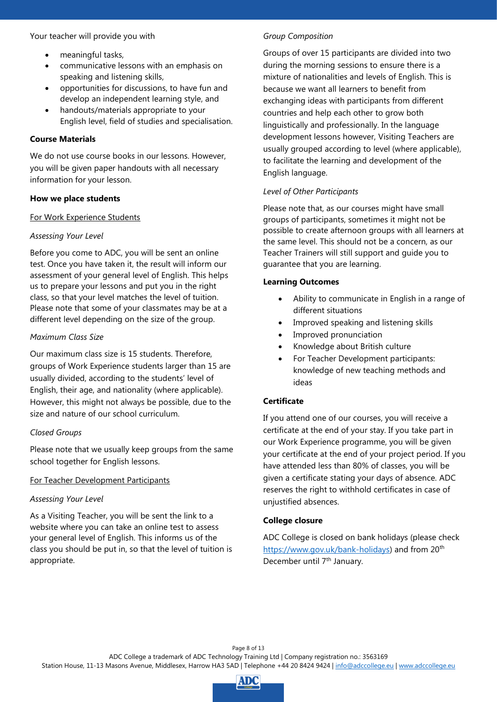Your teacher will provide you with

- meaningful tasks,
- communicative lessons with an emphasis on speaking and listening skills,
- opportunities for discussions, to have fun and develop an independent learning style, and
- handouts/materials appropriate to your English level, field of studies and specialisation.

#### <span id="page-7-0"></span>**Course Materials**

We do not use course books in our lessons. However, you will be given paper handouts with all necessary information for your lesson.

#### <span id="page-7-1"></span>**How we place students**

#### <span id="page-7-2"></span>For Work Experience Students

#### *Assessing Your Level*

Before you come to ADC, you will be sent an online test. Once you have taken it, the result will inform our assessment of your general level of English. This helps us to prepare your lessons and put you in the right class, so that your level matches the level of tuition. Please note that some of your classmates may be at a different level depending on the size of the group.

#### *Maximum Class Size*

Our maximum class size is 15 students. Therefore, groups of Work Experience students larger than 15 are usually divided, according to the students' level of English, their age, and nationality (where applicable). However, this might not always be possible, due to the size and nature of our school curriculum.

#### *Closed Groups*

Please note that we usually keep groups from the same school together for English lessons.

#### <span id="page-7-3"></span>For Teacher Development Participants

#### *Assessing Your Level*

As a Visiting Teacher, you will be sent the link to a website where you can take an online test to assess your general level of English. This informs us of the class you should be put in, so that the level of tuition is appropriate.

#### *Group Composition*

Groups of over 15 participants are divided into two during the morning sessions to ensure there is a mixture of nationalities and levels of English. This is because we want all learners to benefit from exchanging ideas with participants from different countries and help each other to grow both linguistically and professionally. In the language development lessons however, Visiting Teachers are usually grouped according to level (where applicable), to facilitate the learning and development of the English language.

#### *Level of Other Participants*

Please note that, as our courses might have small groups of participants, sometimes it might not be possible to create afternoon groups with all learners at the same level. This should not be a concern, as our Teacher Trainers will still support and guide you to guarantee that you are learning.

#### <span id="page-7-4"></span>**Learning Outcomes**

- Ability to communicate in English in a range of different situations
- Improved speaking and listening skills
- Improved pronunciation
- Knowledge about British culture
- For Teacher Development participants: knowledge of new teaching methods and ideas

#### <span id="page-7-5"></span>**Certificate**

If you attend one of our courses, you will receive a certificate at the end of your stay. If you take part in our Work Experience programme, you will be given your certificate at the end of your project period. If you have attended less than 80% of classes, you will be given a certificate stating your days of absence. ADC reserves the right to withhold certificates in case of unjustified absences.

#### <span id="page-7-6"></span>**College closure**

ADC College is closed on bank holidays (please check [https://www.gov.uk/bank-holidays\)](https://www.gov.uk/bank-holidays) and from 20<sup>th</sup> December until 7<sup>th</sup> January.

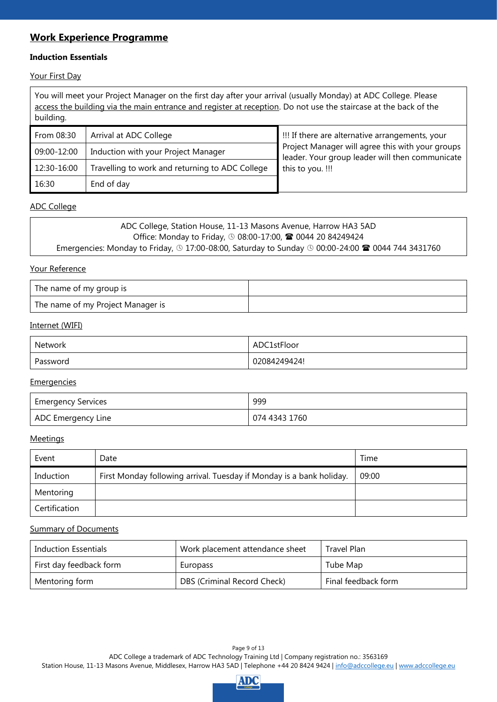# <span id="page-8-0"></span>**Work Experience Programme**

#### <span id="page-8-1"></span>**Induction Essentials**

<span id="page-8-2"></span>Your First Day

You will meet your Project Manager on the first day after your arrival (usually Monday) at ADC College. Please access the building via the main entrance and register at reception. Do not use the staircase at the back of the building. From 08:30 Arrival at ADC College !!! If there are alternative arrangements, your Project Manager will agree this with your groups leader. Your group leader will then communicate this to you. !!! 09:00-12:00 | Induction with your Project Manager 12:30-16:00 Travelling to work and returning to ADC College 16:30 End of day

#### <span id="page-8-3"></span>ADC College

| ADC College, Station House, 11-13 Masons Avenue, Harrow HA3 5AD                                                                          |
|------------------------------------------------------------------------------------------------------------------------------------------|
| Office: Monday to Friday, <b>①</b> 08:00-17:00, <b>雪</b> 0044 20 84249424                                                                |
| Emergencies: Monday to Friday, $\circledcirc$ 17:00-08:00, Saturday to Sunday $\circledcirc$ 00:00-24:00 $\circledcirc$ 0044 744 3431760 |

#### <span id="page-8-4"></span>Your Reference

| The name of my group is           |  |
|-----------------------------------|--|
| The name of my Project Manager is |  |

#### <span id="page-8-5"></span>Internet (WIFI)

| Network  | ADC1stFloor  |
|----------|--------------|
| Password | 02084249424! |

#### <span id="page-8-6"></span>**Emergencies**

| Emergency Services | 999           |
|--------------------|---------------|
| ADC Emergency Line | 074 4343 1760 |

#### <span id="page-8-7"></span>Meetings

| Event         | Date                                                                 | Time  |
|---------------|----------------------------------------------------------------------|-------|
| Induction     | First Monday following arrival. Tuesday if Monday is a bank holiday. | 09:00 |
| Mentoring     |                                                                      |       |
| Certification |                                                                      |       |

#### <span id="page-8-8"></span>Summary of Documents

| Induction Essentials    | Work placement attendance sheet | Travel Plan         |
|-------------------------|---------------------------------|---------------------|
| First day feedback form | Europass                        | Tube Map            |
| Mentoring form          | DBS (Criminal Record Check)     | Final feedback form |

Page 9 of 13 ADC College a trademark of ADC Technology Training Ltd | Company registration no.: 3563169 Station House, 11-13 Masons Avenue, Middlesex, Harrow HA3 5AD | Telephone +44 20 8424 9424 | [info@adccollege.eu](mailto:info@adccollege.eu) | [www.adccollege.eu](http://www.adccollege.eu/)

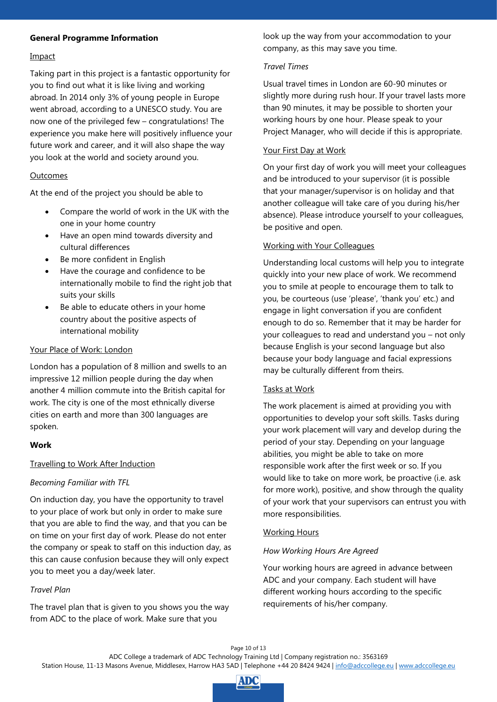#### <span id="page-9-0"></span>**General Programme Information**

#### <span id="page-9-1"></span>Impact

Taking part in this project is a fantastic opportunity for you to find out what it is like living and working abroad. In 2014 only 3% of young people in Europe went abroad, according to a UNESCO study. You are now one of the privileged few – congratulations! The experience you make here will positively influence your future work and career, and it will also shape the way you look at the world and society around you.

#### <span id="page-9-2"></span>Outcomes

At the end of the project you should be able to

- Compare the world of work in the UK with the one in your home country
- Have an open mind towards diversity and cultural differences
- Be more confident in English
- Have the courage and confidence to be internationally mobile to find the right job that suits your skills
- Be able to educate others in your home country about the positive aspects of international mobility

#### <span id="page-9-3"></span>Your Place of Work: London

London has a population of 8 million and swells to an impressive 12 million people during the day when another 4 million commute into the British capital for work. The city is one of the most ethnically diverse cities on earth and more than 300 languages are spoken.

#### <span id="page-9-4"></span>**Work**

#### <span id="page-9-5"></span>Travelling to Work After Induction

#### *Becoming Familiar with TFL*

On induction day, you have the opportunity to travel to your place of work but only in order to make sure that you are able to find the way, and that you can be on time on your first day of work. Please do not enter the company or speak to staff on this induction day, as this can cause confusion because they will only expect you to meet you a day/week later.

#### *Travel Plan*

The travel plan that is given to you shows you the way from ADC to the place of work. Make sure that you

look up the way from your accommodation to your company, as this may save you time.

#### *Travel Times*

Usual travel times in London are 60-90 minutes or slightly more during rush hour. If your travel lasts more than 90 minutes, it may be possible to shorten your working hours by one hour. Please speak to your Project Manager, who will decide if this is appropriate.

#### <span id="page-9-6"></span>Your First Day at Work

On your first day of work you will meet your colleagues and be introduced to your supervisor (it is possible that your manager/supervisor is on holiday and that another colleague will take care of you during his/her absence). Please introduce yourself to your colleagues, be positive and open.

#### <span id="page-9-7"></span>Working with Your Colleagues

Understanding local customs will help you to integrate quickly into your new place of work. We recommend you to smile at people to encourage them to talk to you, be courteous (use 'please', 'thank you' etc.) and engage in light conversation if you are confident enough to do so. Remember that it may be harder for your colleagues to read and understand you – not only because English is your second language but also because your body language and facial expressions may be culturally different from theirs.

#### <span id="page-9-8"></span>Tasks at Work

The work placement is aimed at providing you with opportunities to develop your soft skills. Tasks during your work placement will vary and develop during the period of your stay. Depending on your language abilities, you might be able to take on more responsible work after the first week or so. If you would like to take on more work, be proactive (i.e. ask for more work), positive, and show through the quality of your work that your supervisors can entrust you with more responsibilities.

#### <span id="page-9-9"></span>Working Hours

#### *How Working Hours Are Agreed*

Your working hours are agreed in advance between ADC and your company. Each student will have different working hours according to the specific requirements of his/her company.

#### Page 10 of 13

ADC College a trademark of ADC Technology Training Ltd | Company registration no.: 3563169

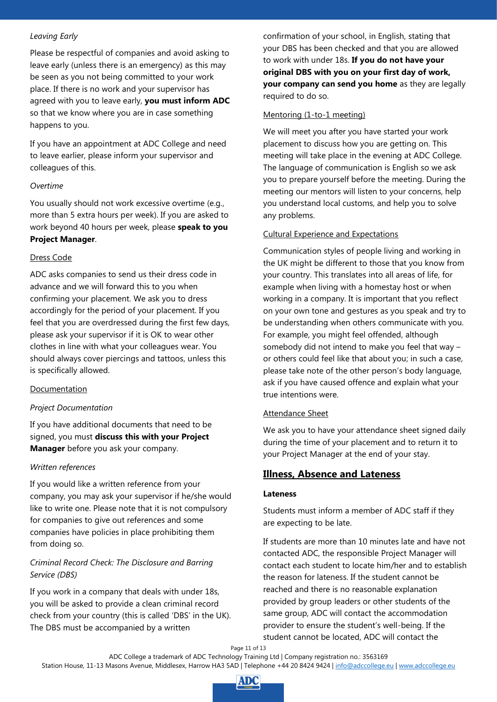#### *Leaving Early*

Please be respectful of companies and avoid asking to leave early (unless there is an emergency) as this may be seen as you not being committed to your work place. If there is no work and your supervisor has agreed with you to leave early, **you must inform ADC** so that we know where you are in case something happens to you.

If you have an appointment at ADC College and need to leave earlier, please inform your supervisor and colleagues of this.

#### *Overtime*

You usually should not work excessive overtime (e.g., more than 5 extra hours per week). If you are asked to work beyond 40 hours per week, please **speak to you Project Manager**.

#### <span id="page-10-0"></span>Dress Code

ADC asks companies to send us their dress code in advance and we will forward this to you when confirming your placement. We ask you to dress accordingly for the period of your placement. If you feel that you are overdressed during the first few days, please ask your supervisor if it is OK to wear other clothes in line with what your colleagues wear. You should always cover piercings and tattoos, unless this is specifically allowed.

#### <span id="page-10-1"></span>Documentation

#### *Project Documentation*

If you have additional documents that need to be signed, you must **discuss this with your Project Manager** before you ask your company.

#### *Written references*

If you would like a written reference from your company, you may ask your supervisor if he/she would like to write one. Please note that it is not compulsory for companies to give out references and some companies have policies in place prohibiting them from doing so.

#### *Criminal Record Check: The Disclosure and Barring Service (DBS)*

If you work in a company that deals with under 18s, you will be asked to provide a clean criminal record check from your country (this is called 'DBS' in the UK). The DBS must be accompanied by a written

confirmation of your school, in English, stating that your DBS has been checked and that you are allowed to work with under 18s. **If you do not have your original DBS with you on your first day of work, your company can send you home** as they are legally required to do so.

#### <span id="page-10-2"></span>Mentoring (1-to-1 meeting)

We will meet you after you have started your work placement to discuss how you are getting on. This meeting will take place in the evening at ADC College. The language of communication is English so we ask you to prepare yourself before the meeting. During the meeting our mentors will listen to your concerns, help you understand local customs, and help you to solve any problems.

#### <span id="page-10-3"></span>Cultural Experience and Expectations

Communication styles of people living and working in the UK might be different to those that you know from your country. This translates into all areas of life, for example when living with a homestay host or when working in a company. It is important that you reflect on your own tone and gestures as you speak and try to be understanding when others communicate with you. For example, you might feel offended, although somebody did not intend to make you feel that way – or others could feel like that about you; in such a case, please take note of the other person's body language, ask if you have caused offence and explain what your true intentions were.

#### <span id="page-10-4"></span>Attendance Sheet

We ask you to have your attendance sheet signed daily during the time of your placement and to return it to your Project Manager at the end of your stay.

# <span id="page-10-5"></span>**Illness, Absence and Lateness**

#### <span id="page-10-6"></span>**Lateness**

Students must inform a member of ADC staff if they are expecting to be late.

If students are more than 10 minutes late and have not contacted ADC, the responsible Project Manager will contact each student to locate him/her and to establish the reason for lateness. If the student cannot be reached and there is no reasonable explanation provided by group leaders or other students of the same group, ADC will contact the accommodation provider to ensure the student's well-being. If the student cannot be located, ADC will contact the

Page 11 of 13

Station House, 11-13 Masons Avenue, Middlesex, Harrow HA3 5AD | Telephone +44 20 8424 9424 | [info@adccollege.eu](mailto:info@adccollege.eu) | [www.adccollege.eu](http://www.adccollege.eu/)

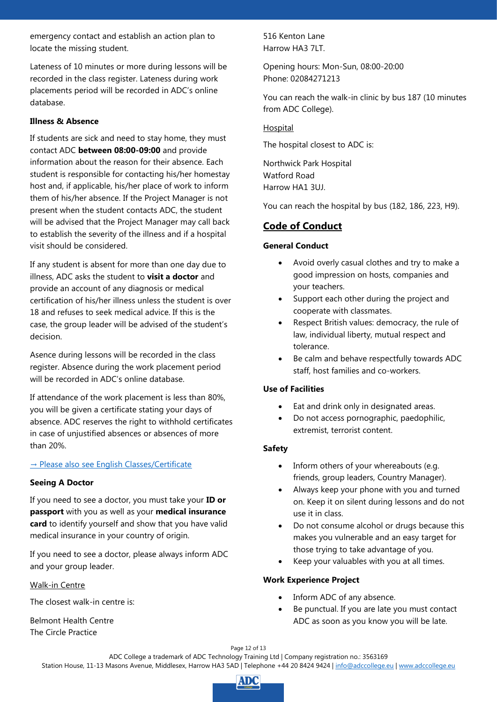emergency contact and establish an action plan to locate the missing student.

Lateness of 10 minutes or more during lessons will be recorded in the class register. Lateness during work placements period will be recorded in ADC's online database.

#### <span id="page-11-0"></span>**Illness & Absence**

If students are sick and need to stay home, they must contact ADC **between 08:00-09:00** and provide information about the reason for their absence. Each student is responsible for contacting his/her homestay host and, if applicable, his/her place of work to inform them of his/her absence. If the Project Manager is not present when the student contacts ADC, the student will be advised that the Project Manager may call back to establish the severity of the illness and if a hospital visit should be considered.

If any student is absent for more than one day due to illness, ADC asks the student to **visit a doctor** and provide an account of any diagnosis or medical certification of his/her illness unless the student is over 18 and refuses to seek medical advice. If this is the case, the group leader will be advised of the student's decision.

Asence during lessons will be recorded in the class register. Absence during the work placement period will be recorded in ADC's online database.

If attendance of the work placement is less than 80%, you will be given a certificate stating your days of absence. ADC reserves the right to withhold certificates in case of unjustified absences or absences of more than 20%.

#### → [Please also see English Classes/Certificate](#page-7-5)

#### <span id="page-11-1"></span>**Seeing A Doctor**

If you need to see a doctor, you must take your **ID or passport** with you as well as your **medical insurance card** to identify yourself and show that you have valid medical insurance in your country of origin.

If you need to see a doctor, please always inform ADC and your group leader.

#### <span id="page-11-2"></span>Walk-in Centre

The closest walk-in centre is:

Belmont Health Centre The Circle Practice

516 Kenton Lane Harrow HA3 7LT.

Opening hours: Mon-Sun, 08:00-20:00 Phone: 02084271213

You can reach the walk-in clinic by bus 187 (10 minutes from ADC College).

#### <span id="page-11-3"></span>Hospital

The hospital closest to ADC is:

Northwick Park Hospital Watford Road Harrow HA1 3UJ.

You can reach the hospital by bus (182, 186, 223, H9).

# <span id="page-11-4"></span>**Code of Conduct**

#### <span id="page-11-5"></span>**General Conduct**

- Avoid overly casual clothes and try to make a good impression on hosts, companies and your teachers.
- Support each other during the project and cooperate with classmates.
- Respect British values: democracy, the rule of law, individual liberty, mutual respect and tolerance.
- Be calm and behave respectfully towards ADC staff, host families and co-workers.

#### <span id="page-11-6"></span>**Use of Facilities**

- Eat and drink only in designated areas.
- Do not access pornographic, paedophilic, extremist, terrorist content.

#### <span id="page-11-7"></span>**Safety**

- Inform others of your whereabouts (e.g. friends, group leaders, Country Manager).
- Always keep your phone with you and turned on. Keep it on silent during lessons and do not use it in class.
- Do not consume alcohol or drugs because this makes you vulnerable and an easy target for those trying to take advantage of you.
- Keep your valuables with you at all times.

#### <span id="page-11-8"></span>**Work Experience Project**

- Inform ADC of any absence.
- Be punctual. If you are late you must contact ADC as soon as you know you will be late.

Page 12 of 13 ADC College a trademark of ADC Technology Training Ltd | Company registration no.: 3563169 Station House, 11-13 Masons Avenue, Middlesex, Harrow HA3 5AD | Telephone +44 20 8424 9424 | [info@adccollege.eu](mailto:info@adccollege.eu) | [www.adccollege.eu](http://www.adccollege.eu/)